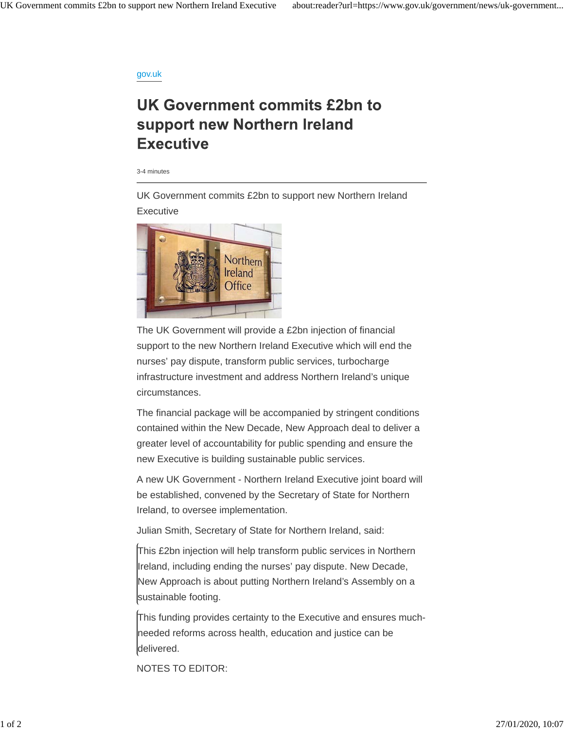## gov.uk

## UK Government commits £2bn to support new Northern Ireland **Executive**

3-4 minutes

UK Government commits £2bn to support new Northern Ireland **Executive** 



The UK Government will provide a £2bn injection of financial support to the new Northern Ireland Executive which will end the nurses' pay dispute, transform public services, turbocharge infrastructure investment and address Northern Ireland's unique circumstances.

The financial package will be accompanied by stringent conditions contained within the New Decade, New Approach deal to deliver a greater level of accountability for public spending and ensure the new Executive is building sustainable public services.

A new UK Government - Northern Ireland Executive joint board will be established, convened by the Secretary of State for Northern Ireland, to oversee implementation.

Julian Smith, Secretary of State for Northern Ireland, said:

This £2bn injection will help transform public services in Northern Ireland, including ending the nurses' pay dispute. New Decade, New Approach is about putting Northern Ireland's Assembly on a sustainable footing.

This funding provides certainty to the Executive and ensures muchneeded reforms across health, education and justice can be delivered.

NOTES TO EDITOR: